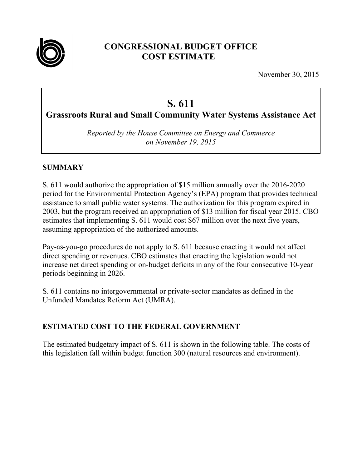

# **CONGRESSIONAL BUDGET OFFICE COST ESTIMATE**

November 30, 2015

# **S. 611**

**Grassroots Rural and Small Community Water Systems Assistance Act**

*Reported by the House Committee on Energy and Commerce on November 19, 2015* 

## **SUMMARY**

S. 611 would authorize the appropriation of \$15 million annually over the 2016-2020 period for the Environmental Protection Agency's (EPA) program that provides technical assistance to small public water systems. The authorization for this program expired in 2003, but the program received an appropriation of \$13 million for fiscal year 2015. CBO estimates that implementing S. 611 would cost \$67 million over the next five years, assuming appropriation of the authorized amounts.

Pay-as-you-go procedures do not apply to S. 611 because enacting it would not affect direct spending or revenues. CBO estimates that enacting the legislation would not increase net direct spending or on-budget deficits in any of the four consecutive 10-year periods beginning in 2026.

S. 611 contains no intergovernmental or private-sector mandates as defined in the Unfunded Mandates Reform Act (UMRA).

# **ESTIMATED COST TO THE FEDERAL GOVERNMENT**

The estimated budgetary impact of S. 611 is shown in the following table. The costs of this legislation fall within budget function 300 (natural resources and environment).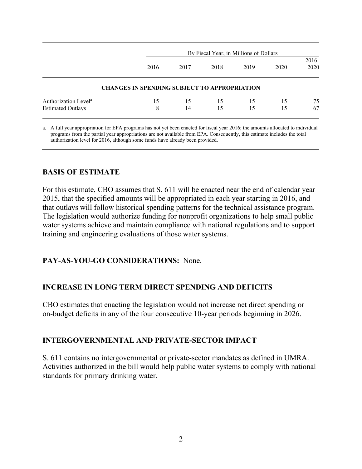|                                  |                                                     | By Fiscal Year, in Millions of Dollars |      |      |      |                  |  |
|----------------------------------|-----------------------------------------------------|----------------------------------------|------|------|------|------------------|--|
|                                  | 2016                                                | 2017                                   | 2018 | 2019 | 2020 | $2016 -$<br>2020 |  |
|                                  | <b>CHANGES IN SPENDING SUBJECT TO APPROPRIATION</b> |                                        |      |      |      |                  |  |
| Authorization Level <sup>a</sup> | 15                                                  | 15                                     | 15   | 15   | 15   | 75               |  |
| <b>Estimated Outlays</b>         | 8                                                   | 14                                     | 15   | 15   | 15   | 67               |  |

a. A full year appropriation for EPA programs has not yet been enacted for fiscal year 2016; the amounts allocated to individual programs from the partial year appropriations are not available from EPA. Consequently, this estimate includes the total authorization level for 2016, although some funds have already been provided.

## **BASIS OF ESTIMATE**

For this estimate, CBO assumes that S. 611 will be enacted near the end of calendar year 2015, that the specified amounts will be appropriated in each year starting in 2016, and that outlays will follow historical spending patterns for the technical assistance program. The legislation would authorize funding for nonprofit organizations to help small public water systems achieve and maintain compliance with national regulations and to support training and engineering evaluations of those water systems.

#### **PAY-AS-YOU-GO CONSIDERATIONS:** None.

#### **INCREASE IN LONG TERM DIRECT SPENDING AND DEFICITS**

CBO estimates that enacting the legislation would not increase net direct spending or on-budget deficits in any of the four consecutive 10-year periods beginning in 2026.

#### **INTERGOVERNMENTAL AND PRIVATE-SECTOR IMPACT**

S. 611 contains no intergovernmental or private-sector mandates as defined in UMRA. Activities authorized in the bill would help public water systems to comply with national standards for primary drinking water.